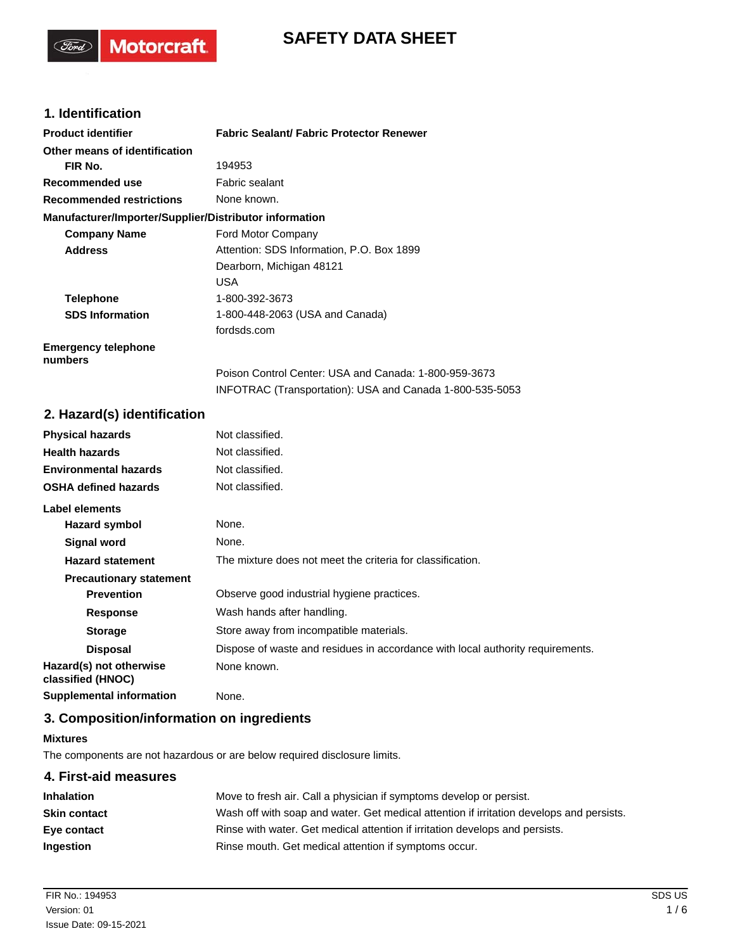# **SAFETY DATA SHEET**

## **1. Identification**

(Ford)

**Motorcraft** 

| <b>Product identifier</b>                              | <b>Fabric Sealant/ Fabric Protector Renewer</b>          |
|--------------------------------------------------------|----------------------------------------------------------|
| Other means of identification                          |                                                          |
| FIR No.                                                | 194953                                                   |
| Recommended use                                        | Fabric sealant                                           |
| <b>Recommended restrictions</b>                        | None known.                                              |
| Manufacturer/Importer/Supplier/Distributor information |                                                          |
| <b>Company Name</b>                                    | Ford Motor Company                                       |
| <b>Address</b>                                         | Attention: SDS Information, P.O. Box 1899                |
|                                                        | Dearborn, Michigan 48121                                 |
|                                                        | USA                                                      |
| <b>Telephone</b>                                       | 1-800-392-3673                                           |
| <b>SDS Information</b>                                 | 1-800-448-2063 (USA and Canada)                          |
|                                                        | fordsds.com                                              |
| <b>Emergency telephone</b><br>numbers                  |                                                          |
|                                                        | Poison Control Center: USA and Canada: 1-800-959-3673    |
|                                                        | INFOTRAC (Transportation): USA and Canada 1-800-535-5053 |

### **2. Hazard(s) identification**

| <b>Physical hazards</b>                      | Not classified.                                                                |  |
|----------------------------------------------|--------------------------------------------------------------------------------|--|
| <b>Health hazards</b>                        | Not classified.                                                                |  |
| <b>Environmental hazards</b>                 | Not classified.                                                                |  |
| <b>OSHA defined hazards</b>                  | Not classified.                                                                |  |
| Label elements                               |                                                                                |  |
| Hazard symbol                                | None.                                                                          |  |
| Signal word                                  | None.                                                                          |  |
| <b>Hazard statement</b>                      | The mixture does not meet the criteria for classification.                     |  |
| <b>Precautionary statement</b>               |                                                                                |  |
| <b>Prevention</b>                            | Observe good industrial hygiene practices.                                     |  |
| <b>Response</b>                              | Wash hands after handling.                                                     |  |
| <b>Storage</b>                               | Store away from incompatible materials.                                        |  |
| <b>Disposal</b>                              | Dispose of waste and residues in accordance with local authority requirements. |  |
| Hazard(s) not otherwise<br>classified (HNOC) | None known.                                                                    |  |
| <b>Supplemental information</b>              | None.                                                                          |  |

## **3. Composition/information on ingredients**

#### **Mixtures**

The components are not hazardous or are below required disclosure limits.

## **4. First-aid measures Inhalation** Move to fresh air. Call a physician if symptoms develop or persist. **Skin contact** Wash off with soap and water. Get medical attention if irritation develops and persists. **Eye contact Rinse with water. Get medical attention if irritation develops and persists. Ingestion** Rinse mouth. Get medical attention if symptoms occur.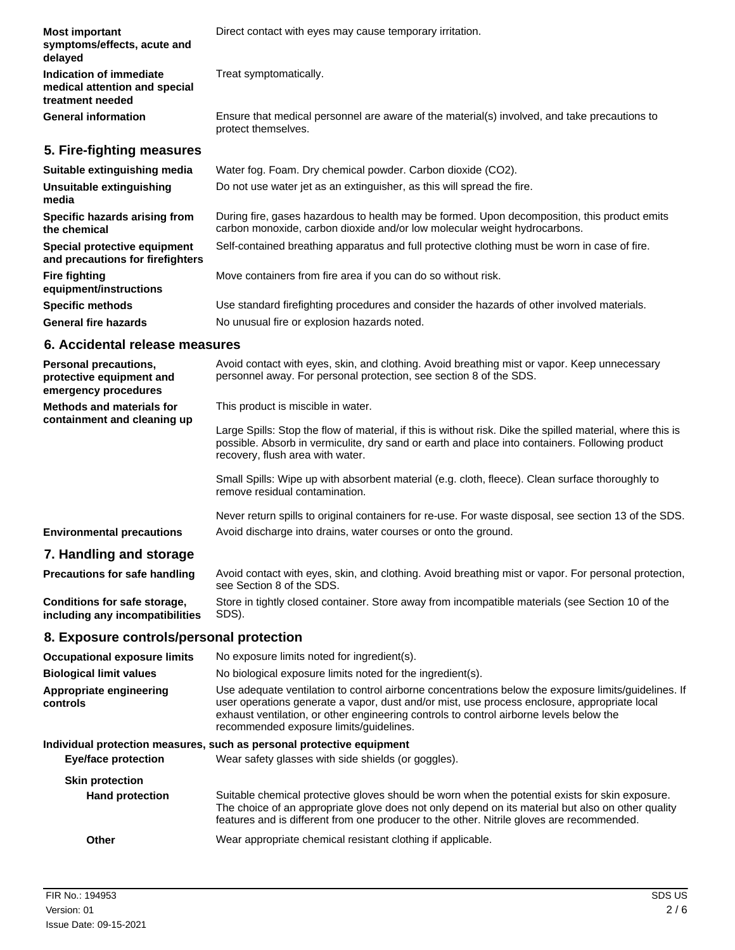| <b>Most important</b><br>symptoms/effects, acute and<br>delayed                     | Direct contact with eyes may cause temporary irritation.                                                                                                                                                                                          |
|-------------------------------------------------------------------------------------|---------------------------------------------------------------------------------------------------------------------------------------------------------------------------------------------------------------------------------------------------|
| <b>Indication of immediate</b><br>medical attention and special<br>treatment needed | Treat symptomatically.                                                                                                                                                                                                                            |
| <b>General information</b>                                                          | Ensure that medical personnel are aware of the material(s) involved, and take precautions to<br>protect themselves.                                                                                                                               |
| 5. Fire-fighting measures                                                           |                                                                                                                                                                                                                                                   |
| Suitable extinguishing media                                                        | Water fog. Foam. Dry chemical powder. Carbon dioxide (CO2).                                                                                                                                                                                       |
| Unsuitable extinguishing<br>media                                                   | Do not use water jet as an extinguisher, as this will spread the fire.                                                                                                                                                                            |
| Specific hazards arising from<br>the chemical                                       | During fire, gases hazardous to health may be formed. Upon decomposition, this product emits<br>carbon monoxide, carbon dioxide and/or low molecular weight hydrocarbons.                                                                         |
| Special protective equipment<br>and precautions for firefighters                    | Self-contained breathing apparatus and full protective clothing must be worn in case of fire.                                                                                                                                                     |
| <b>Fire fighting</b><br>equipment/instructions                                      | Move containers from fire area if you can do so without risk.                                                                                                                                                                                     |
| <b>Specific methods</b>                                                             | Use standard firefighting procedures and consider the hazards of other involved materials.                                                                                                                                                        |
| <b>General fire hazards</b>                                                         | No unusual fire or explosion hazards noted.                                                                                                                                                                                                       |
| 6. Accidental release measures                                                      |                                                                                                                                                                                                                                                   |
| Personal precautions,<br>protective equipment and<br>emergency procedures           | Avoid contact with eyes, skin, and clothing. Avoid breathing mist or vapor. Keep unnecessary<br>personnel away. For personal protection, see section 8 of the SDS.                                                                                |
| <b>Methods and materials for</b><br>containment and cleaning up                     | This product is miscible in water.                                                                                                                                                                                                                |
|                                                                                     | Large Spills: Stop the flow of material, if this is without risk. Dike the spilled material, where this is<br>possible. Absorb in vermiculite, dry sand or earth and place into containers. Following product<br>recovery, flush area with water. |
|                                                                                     | Small Spills: Wipe up with absorbent material (e.g. cloth, fleece). Clean surface thoroughly to<br>remove residual contamination.                                                                                                                 |
|                                                                                     | Never return spills to original containers for re-use. For waste disposal, see section 13 of the SDS.                                                                                                                                             |
| <b>Environmental precautions</b>                                                    | Avoid discharge into drains, water courses or onto the ground.                                                                                                                                                                                    |
| 7. Handling and storage                                                             |                                                                                                                                                                                                                                                   |
| <b>Precautions for safe handling</b>                                                | Avoid contact with eyes, skin, and clothing. Avoid breathing mist or vapor. For personal protection,<br>see Section 8 of the SDS.                                                                                                                 |
| Conditions for safe storage,<br>including any incompatibilities                     | Store in tightly closed container. Store away from incompatible materials (see Section 10 of the<br>SDS).                                                                                                                                         |

## **8. Exposure controls/personal protection**

| <b>Occupational exposure limits</b> | No exposure limits noted for ingredient(s).                                                                                                                                                                                                                                                                                                |  |
|-------------------------------------|--------------------------------------------------------------------------------------------------------------------------------------------------------------------------------------------------------------------------------------------------------------------------------------------------------------------------------------------|--|
| <b>Biological limit values</b>      | No biological exposure limits noted for the ingredient(s).                                                                                                                                                                                                                                                                                 |  |
| Appropriate engineering<br>controls | Use adequate ventilation to control airborne concentrations below the exposure limits/guidelines. If<br>user operations generate a vapor, dust and/or mist, use process enclosure, appropriate local<br>exhaust ventilation, or other engineering controls to control airborne levels below the<br>recommended exposure limits/quidelines. |  |
|                                     | Individual protection measures, such as personal protective equipment                                                                                                                                                                                                                                                                      |  |
| <b>Eye/face protection</b>          | Wear safety glasses with side shields (or goggles).                                                                                                                                                                                                                                                                                        |  |
| <b>Skin protection</b>              |                                                                                                                                                                                                                                                                                                                                            |  |
| <b>Hand protection</b>              | Suitable chemical protective gloves should be worn when the potential exists for skin exposure.<br>The choice of an appropriate glove does not only depend on its material but also on other quality<br>features and is different from one producer to the other. Nitrile gloves are recommended.                                          |  |
| Other                               | Wear appropriate chemical resistant clothing if applicable.                                                                                                                                                                                                                                                                                |  |
|                                     |                                                                                                                                                                                                                                                                                                                                            |  |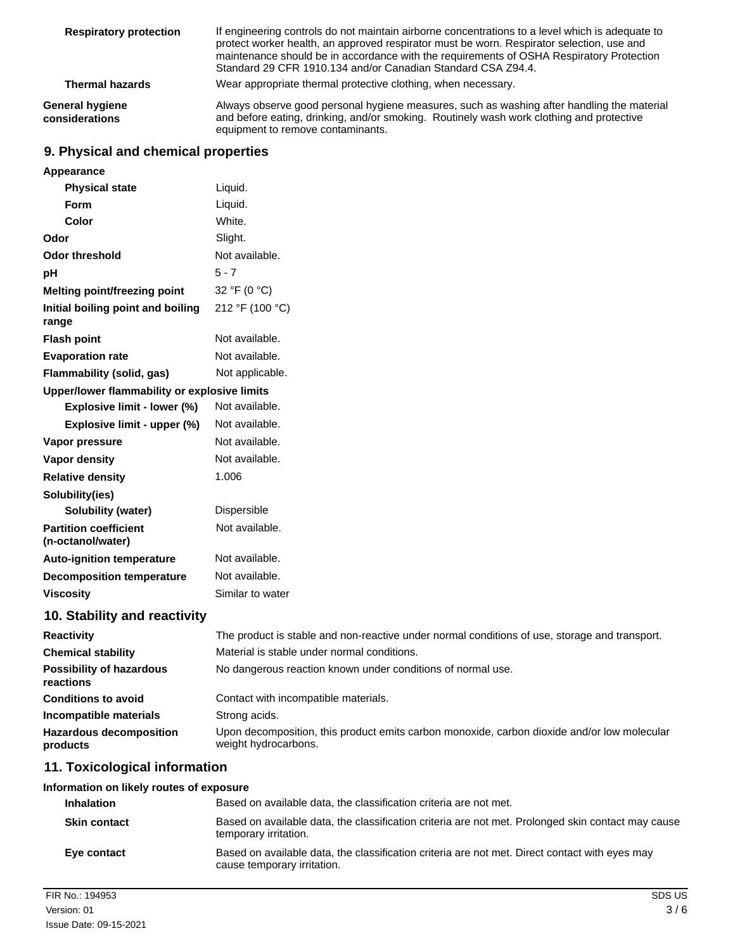| <b>Respiratory protection</b>            | If engineering controls do not maintain airborne concentrations to a level which is adequate to<br>protect worker health, an approved respirator must be worn. Respirator selection, use and<br>maintenance should be in accordance with the requirements of OSHA Respiratory Protection<br>Standard 29 CFR 1910.134 and/or Canadian Standard CSA Z94.4. |
|------------------------------------------|----------------------------------------------------------------------------------------------------------------------------------------------------------------------------------------------------------------------------------------------------------------------------------------------------------------------------------------------------------|
| <b>Thermal hazards</b>                   | Wear appropriate thermal protective clothing, when necessary.                                                                                                                                                                                                                                                                                            |
| <b>General hygiene</b><br>considerations | Always observe good personal hygiene measures, such as washing after handling the material<br>and before eating, drinking, and/or smoking. Routinely wash work clothing and protective<br>equipment to remove contaminants.                                                                                                                              |

## **9. Physical and chemical properties**

| Appearance                                        |                                                                                                                     |
|---------------------------------------------------|---------------------------------------------------------------------------------------------------------------------|
| <b>Physical state</b>                             | Liquid.                                                                                                             |
| Form                                              | Liquid.                                                                                                             |
| Color                                             | White.                                                                                                              |
| Odor                                              | Slight.                                                                                                             |
| <b>Odor threshold</b>                             | Not available.                                                                                                      |
| рH                                                | $5 - 7$                                                                                                             |
| Melting point/freezing point                      | 32 °F (0 °C)                                                                                                        |
| Initial boiling point and boiling<br>range        | 212 °F (100 °C)                                                                                                     |
| <b>Flash point</b>                                | Not available.                                                                                                      |
| <b>Evaporation rate</b>                           | Not available.                                                                                                      |
| Flammability (solid, gas)                         | Not applicable.                                                                                                     |
| Upper/lower flammability or explosive limits      |                                                                                                                     |
| Explosive limit - lower (%)                       | Not available.                                                                                                      |
| Explosive limit - upper (%)                       | Not available.                                                                                                      |
| Vapor pressure                                    | Not available.                                                                                                      |
| <b>Vapor density</b>                              | Not available.                                                                                                      |
| <b>Relative density</b>                           | 1.006                                                                                                               |
| Solubility(ies)                                   |                                                                                                                     |
| Solubility (water)                                | Dispersible                                                                                                         |
| <b>Partition coefficient</b><br>(n-octanol/water) | Not available.                                                                                                      |
| <b>Auto-ignition temperature</b>                  | Not available.                                                                                                      |
| <b>Decomposition temperature</b>                  | Not available.                                                                                                      |
| <b>Viscosity</b>                                  | Similar to water                                                                                                    |
| 10. Stability and reactivity                      |                                                                                                                     |
| <b>Reactivity</b>                                 | The product is stable and non-reactive under normal conditions of use, storage and transport.                       |
| <b>Chemical stability</b>                         | Material is stable under normal conditions.                                                                         |
| <b>Possibility of hazardous</b><br>reactions      | No dangerous reaction known under conditions of normal use.                                                         |
| <b>Conditions to avoid</b>                        | Contact with incompatible materials.                                                                                |
| Incompatible materials                            | Strong acids.                                                                                                       |
| <b>Hazardous decomposition</b><br>products        | Upon decomposition, this product emits carbon monoxide, carbon dioxide and/or low molecular<br>weight hydrocarbons. |
| .                                                 |                                                                                                                     |

## **11. Toxicological information**

| Information on likely routes of exposure |                                                                                                                               |
|------------------------------------------|-------------------------------------------------------------------------------------------------------------------------------|
| <b>Inhalation</b>                        | Based on available data, the classification criteria are not met.                                                             |
| <b>Skin contact</b>                      | Based on available data, the classification criteria are not met. Prolonged skin contact may cause<br>temporary irritation.   |
| Eye contact                              | Based on available data, the classification criteria are not met. Direct contact with eyes may<br>cause temporary irritation. |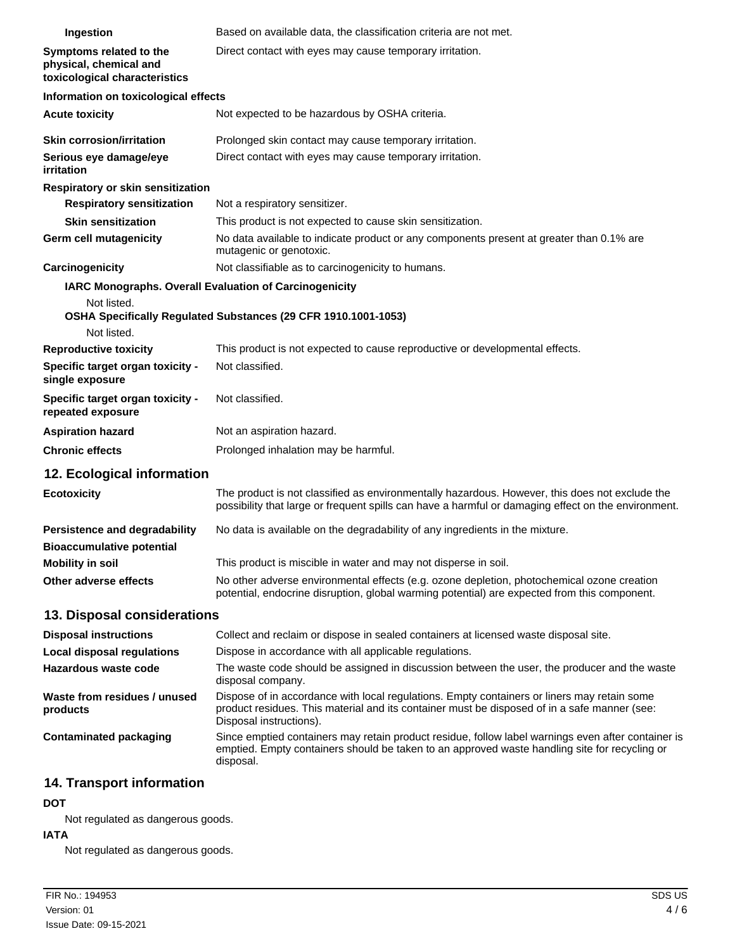| Ingestion                                                                          | Based on available data, the classification criteria are not met.                                                                                                                                                      |
|------------------------------------------------------------------------------------|------------------------------------------------------------------------------------------------------------------------------------------------------------------------------------------------------------------------|
| Symptoms related to the<br>physical, chemical and<br>toxicological characteristics | Direct contact with eyes may cause temporary irritation.                                                                                                                                                               |
| Information on toxicological effects                                               |                                                                                                                                                                                                                        |
| <b>Acute toxicity</b>                                                              | Not expected to be hazardous by OSHA criteria.                                                                                                                                                                         |
| Skin corrosion/irritation                                                          | Prolonged skin contact may cause temporary irritation.                                                                                                                                                                 |
| Serious eye damage/eye<br>irritation                                               | Direct contact with eyes may cause temporary irritation.                                                                                                                                                               |
| Respiratory or skin sensitization                                                  |                                                                                                                                                                                                                        |
| <b>Respiratory sensitization</b>                                                   | Not a respiratory sensitizer.                                                                                                                                                                                          |
| <b>Skin sensitization</b>                                                          | This product is not expected to cause skin sensitization.                                                                                                                                                              |
| Germ cell mutagenicity                                                             | No data available to indicate product or any components present at greater than 0.1% are<br>mutagenic or genotoxic.                                                                                                    |
| Carcinogenicity                                                                    | Not classifiable as to carcinogenicity to humans.                                                                                                                                                                      |
| <b>IARC Monographs. Overall Evaluation of Carcinogenicity</b>                      |                                                                                                                                                                                                                        |
| Not listed.<br>Not listed.                                                         | OSHA Specifically Regulated Substances (29 CFR 1910.1001-1053)                                                                                                                                                         |
| <b>Reproductive toxicity</b>                                                       | This product is not expected to cause reproductive or developmental effects.                                                                                                                                           |
| Specific target organ toxicity -<br>single exposure                                | Not classified.                                                                                                                                                                                                        |
| Specific target organ toxicity -<br>repeated exposure                              | Not classified.                                                                                                                                                                                                        |
| <b>Aspiration hazard</b>                                                           | Not an aspiration hazard.                                                                                                                                                                                              |
| <b>Chronic effects</b>                                                             | Prolonged inhalation may be harmful.                                                                                                                                                                                   |
| 12. Ecological information                                                         |                                                                                                                                                                                                                        |
| <b>Ecotoxicity</b>                                                                 | The product is not classified as environmentally hazardous. However, this does not exclude the<br>possibility that large or frequent spills can have a harmful or damaging effect on the environment.                  |
| Persistence and degradability<br><b>Bioaccumulative potential</b>                  | No data is available on the degradability of any ingredients in the mixture.                                                                                                                                           |
| <b>Mobility in soil</b>                                                            | This product is miscible in water and may not disperse in soil.                                                                                                                                                        |
| Other adverse effects                                                              | No other adverse environmental effects (e.g. ozone depletion, photochemical ozone creation<br>potential, endocrine disruption, global warming potential) are expected from this component.                             |
| 13. Disposal considerations                                                        |                                                                                                                                                                                                                        |
| <b>Disposal instructions</b>                                                       | Collect and reclaim or dispose in sealed containers at licensed waste disposal site.                                                                                                                                   |
| <b>Local disposal regulations</b>                                                  | Dispose in accordance with all applicable regulations.                                                                                                                                                                 |
| Hazardous waste code                                                               | The waste code should be assigned in discussion between the user, the producer and the waste<br>disposal company.                                                                                                      |
| Waste from residues / unused<br>products                                           | Dispose of in accordance with local regulations. Empty containers or liners may retain some<br>product residues. This material and its container must be disposed of in a safe manner (see:<br>Disposal instructions). |
| <b>Contaminated packaging</b>                                                      | Since emptied containers may retain product residue, follow label warnings even after container is<br>emptied. Empty containers should be taken to an approved waste handling site for recycling or<br>disposal.       |
|                                                                                    |                                                                                                                                                                                                                        |

## **14. Transport information**

### **DOT**

Not regulated as dangerous goods.

### **IATA**

Not regulated as dangerous goods.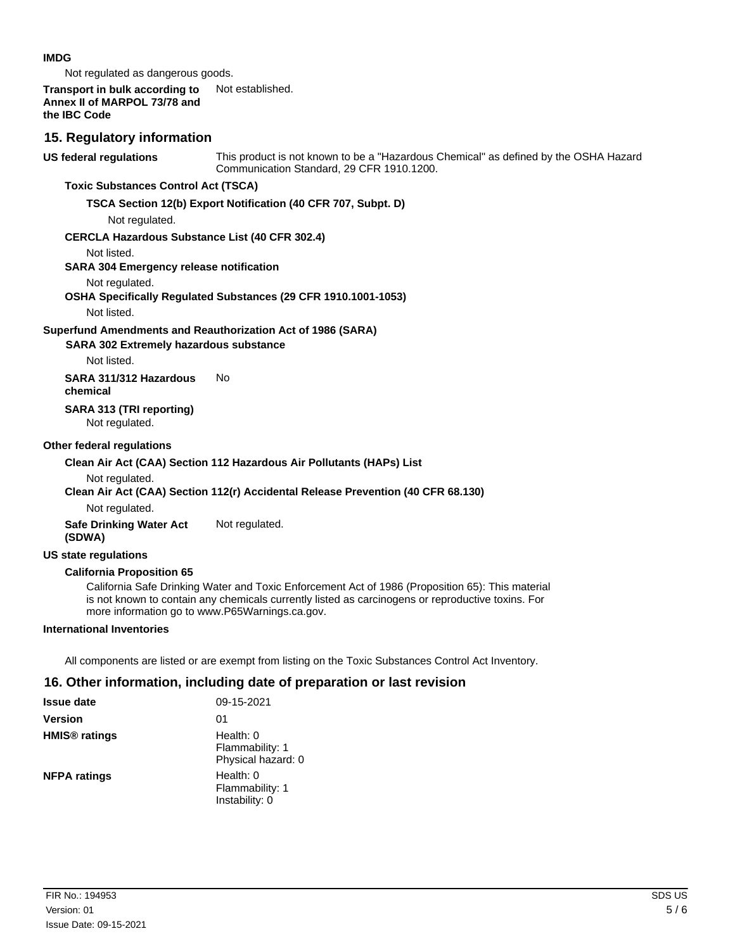#### **IMDG**

Not regulated as dangerous goods.

#### **Transport in bulk according to** Not established. **Annex II of MARPOL 73/78 and the IBC Code**

### **15. Regulatory information**

**US federal regulations**

This product is not known to be a "Hazardous Chemical" as defined by the OSHA Hazard Communication Standard, 29 CFR 1910.1200.

### **Toxic Substances Control Act (TSCA)**

#### **TSCA Section 12(b) Export Notification (40 CFR 707, Subpt. D)**

Not regulated.

#### **CERCLA Hazardous Substance List (40 CFR 302.4)**

Not listed.

#### **SARA 304 Emergency release notification**

Not regulated.

#### **OSHA Specifically Regulated Substances (29 CFR 1910.1001-1053)**

Not listed.

#### **Superfund Amendments and Reauthorization Act of 1986 (SARA)**

#### **SARA 302 Extremely hazardous substance**

Not listed.

**SARA 311/312 Hazardous** No **chemical**

## **SARA 313 (TRI reporting)**

Not regulated.

#### **Other federal regulations**

#### **Clean Air Act (CAA) Section 112 Hazardous Air Pollutants (HAPs) List**

Not regulated.

#### **Clean Air Act (CAA) Section 112(r) Accidental Release Prevention (40 CFR 68.130)**

Not regulated.

**Safe Drinking Water Act** Not regulated. **(SDWA)**

#### **US state regulations**

#### **California Proposition 65**

California Safe Drinking Water and Toxic Enforcement Act of 1986 (Proposition 65): This material is not known to contain any chemicals currently listed as carcinogens or reproductive toxins. For more information go to www.P65Warnings.ca.gov.

#### **International Inventories**

All components are listed or are exempt from listing on the Toxic Substances Control Act Inventory.

### **16. Other information, including date of preparation or last revision**

| <b>Issue date</b>               | 09-15-2021                                           |
|---------------------------------|------------------------------------------------------|
| <b>Version</b>                  | 01                                                   |
| <b>HMIS<sup>®</sup></b> ratings | Health: $0$<br>Flammability: 1<br>Physical hazard: 0 |
| <b>NFPA ratings</b>             | Health: 0<br>Flammability: 1<br>Instability: 0       |